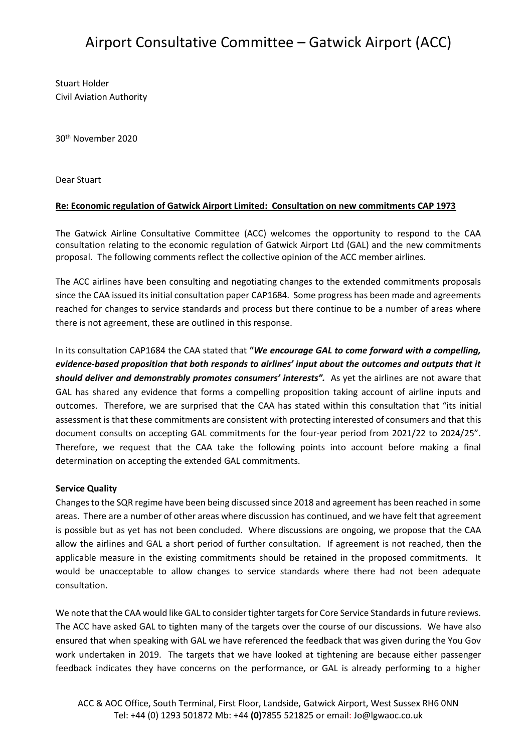# Airport Consultative Committee – Gatwick Airport (ACC)

Stuart Holder Civil Aviation Authority

30th November 2020

Dear Stuart

## **Re: Economic regulation of Gatwick Airport Limited: Consultation on new commitments CAP 1973**

The Gatwick Airline Consultative Committee (ACC) welcomes the opportunity to respond to the CAA consultation relating to the economic regulation of Gatwick Airport Ltd (GAL) and the new commitments proposal. The following comments reflect the collective opinion of the ACC member airlines.

The ACC airlines have been consulting and negotiating changes to the extended commitments proposals since the CAA issued its initial consultation paper CAP1684. Some progress has been made and agreements reached for changes to service standards and process but there continue to be a number of areas where there is not agreement, these are outlined in this response.

In its consultation CAP1684 the CAA stated that **"***We encourage GAL to come forward with a compelling, evidence-based proposition that both responds to airlines' input about the outcomes and outputs that it should deliver and demonstrably promotes consumers' interests".* As yet the airlines are not aware that GAL has shared any evidence that forms a compelling proposition taking account of airline inputs and outcomes. Therefore, we are surprised that the CAA has stated within this consultation that "its initial assessment is that these commitments are consistent with protecting interested of consumers and that this document consults on accepting GAL commitments for the four-year period from 2021/22 to 2024/25". Therefore, we request that the CAA take the following points into account before making a final determination on accepting the extended GAL commitments.

#### **Service Quality**

Changes to the SQR regime have been being discussed since 2018 and agreement has been reached in some areas. There are a number of other areas where discussion has continued, and we have felt that agreement is possible but as yet has not been concluded. Where discussions are ongoing, we propose that the CAA allow the airlines and GAL a short period of further consultation. If agreement is not reached, then the applicable measure in the existing commitments should be retained in the proposed commitments. It would be unacceptable to allow changes to service standards where there had not been adequate consultation.

We note that the CAA would like GAL to consider tighter targets for Core Service Standards in future reviews. The ACC have asked GAL to tighten many of the targets over the course of our discussions. We have also ensured that when speaking with GAL we have referenced the feedback that was given during the You Gov work undertaken in 2019. The targets that we have looked at tightening are because either passenger feedback indicates they have concerns on the performance, or GAL is already performing to a higher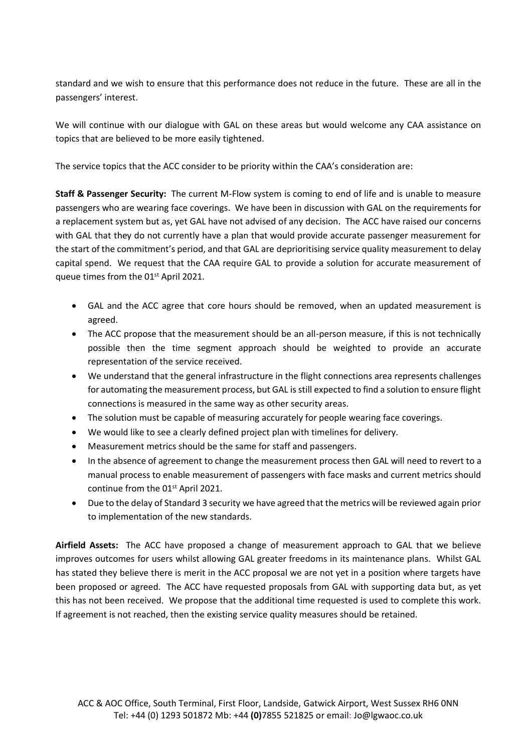standard and we wish to ensure that this performance does not reduce in the future. These are all in the passengers' interest.

We will continue with our dialogue with GAL on these areas but would welcome any CAA assistance on topics that are believed to be more easily tightened.

The service topics that the ACC consider to be priority within the CAA's consideration are:

**Staff & Passenger Security:** The current M-Flow system is coming to end of life and is unable to measure passengers who are wearing face coverings. We have been in discussion with GAL on the requirements for a replacement system but as, yet GAL have not advised of any decision. The ACC have raised our concerns with GAL that they do not currently have a plan that would provide accurate passenger measurement for the start of the commitment's period, and that GAL are deprioritising service quality measurement to delay capital spend. We request that the CAA require GAL to provide a solution for accurate measurement of queue times from the 01<sup>st</sup> April 2021.

- GAL and the ACC agree that core hours should be removed, when an updated measurement is agreed.
- The ACC propose that the measurement should be an all-person measure, if this is not technically possible then the time segment approach should be weighted to provide an accurate representation of the service received.
- We understand that the general infrastructure in the flight connections area represents challenges for automating the measurement process, but GAL is still expected to find a solution to ensure flight connections is measured in the same way as other security areas.
- The solution must be capable of measuring accurately for people wearing face coverings.
- We would like to see a clearly defined project plan with timelines for delivery.
- Measurement metrics should be the same for staff and passengers.
- In the absence of agreement to change the measurement process then GAL will need to revert to a manual process to enable measurement of passengers with face masks and current metrics should continue from the 01<sup>st</sup> April 2021.
- Due to the delay of Standard 3 security we have agreed that the metrics will be reviewed again prior to implementation of the new standards.

**Airfield Assets:** The ACC have proposed a change of measurement approach to GAL that we believe improves outcomes for users whilst allowing GAL greater freedoms in its maintenance plans. Whilst GAL has stated they believe there is merit in the ACC proposal we are not yet in a position where targets have been proposed or agreed. The ACC have requested proposals from GAL with supporting data but, as yet this has not been received. We propose that the additional time requested is used to complete this work. If agreement is not reached, then the existing service quality measures should be retained.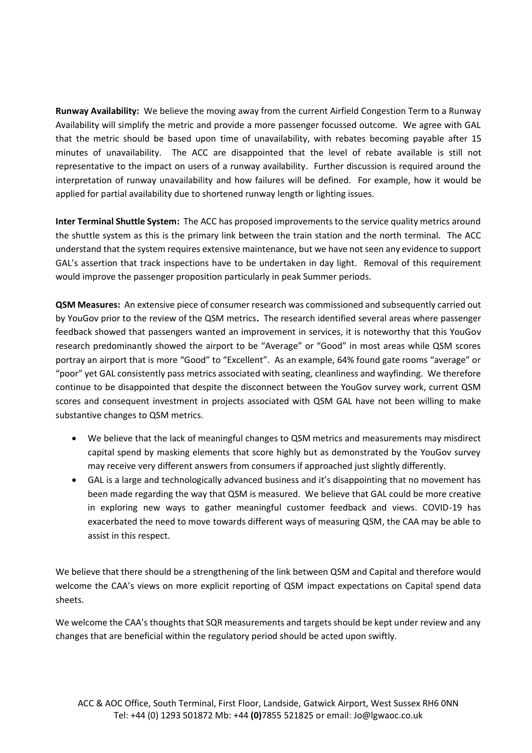**Runway Availability:** We believe the moving away from the current Airfield Congestion Term to a Runway Availability will simplify the metric and provide a more passenger focussed outcome. We agree with GAL that the metric should be based upon time of unavailability, with rebates becoming payable after 15 minutes of unavailability. The ACC are disappointed that the level of rebate available is still not representative to the impact on users of a runway availability. Further discussion is required around the interpretation of runway unavailability and how failures will be defined. For example, how it would be applied for partial availability due to shortened runway length or lighting issues.

**Inter Terminal Shuttle System:** The ACC has proposed improvements to the service quality metrics around the shuttle system as this is the primary link between the train station and the north terminal. The ACC understand that the system requires extensive maintenance, but we have not seen any evidence to support GAL's assertion that track inspections have to be undertaken in day light. Removal of this requirement would improve the passenger proposition particularly in peak Summer periods.

**QSM Measures:** An extensive piece of consumer research was commissioned and subsequently carried out by YouGov prior to the review of the QSM metrics**.** The research identified several areas where passenger feedback showed that passengers wanted an improvement in services, it is noteworthy that this YouGov research predominantly showed the airport to be "Average" or "Good" in most areas while QSM scores portray an airport that is more "Good" to "Excellent". As an example, 64% found gate rooms "average" or "poor" yet GAL consistently pass metrics associated with seating, cleanliness and wayfinding. We therefore continue to be disappointed that despite the disconnect between the YouGov survey work, current QSM scores and consequent investment in projects associated with QSM GAL have not been willing to make substantive changes to QSM metrics.

- We believe that the lack of meaningful changes to QSM metrics and measurements may misdirect capital spend by masking elements that score highly but as demonstrated by the YouGov survey may receive very different answers from consumers if approached just slightly differently.
- GAL is a large and technologically advanced business and it's disappointing that no movement has been made regarding the way that QSM is measured. We believe that GAL could be more creative in exploring new ways to gather meaningful customer feedback and views. COVID-19 has exacerbated the need to move towards different ways of measuring QSM, the CAA may be able to assist in this respect.

We believe that there should be a strengthening of the link between QSM and Capital and therefore would welcome the CAA's views on more explicit reporting of QSM impact expectations on Capital spend data sheets.

We welcome the CAA's thoughts that SQR measurements and targets should be kept under review and any changes that are beneficial within the regulatory period should be acted upon swiftly.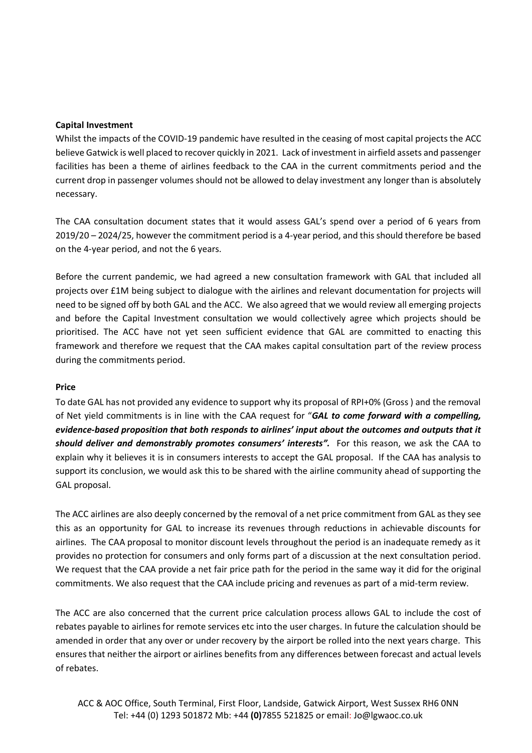#### **Capital Investment**

Whilst the impacts of the COVID-19 pandemic have resulted in the ceasing of most capital projects the ACC believe Gatwick is well placed to recover quickly in 2021. Lack of investment in airfield assets and passenger facilities has been a theme of airlines feedback to the CAA in the current commitments period and the current drop in passenger volumes should not be allowed to delay investment any longer than is absolutely necessary.

The CAA consultation document states that it would assess GAL's spend over a period of 6 years from 2019/20 – 2024/25, however the commitment period is a 4-year period, and this should therefore be based on the 4-year period, and not the 6 years.

Before the current pandemic, we had agreed a new consultation framework with GAL that included all projects over £1M being subject to dialogue with the airlines and relevant documentation for projects will need to be signed off by both GAL and the ACC. We also agreed that we would review all emerging projects and before the Capital Investment consultation we would collectively agree which projects should be prioritised. The ACC have not yet seen sufficient evidence that GAL are committed to enacting this framework and therefore we request that the CAA makes capital consultation part of the review process during the commitments period.

#### **Price**

To date GAL has not provided any evidence to support why its proposal of RPI+0% (Gross ) and the removal of Net yield commitments is in line with the CAA request for "*GAL to come forward with a compelling, evidence-based proposition that both responds to airlines' input about the outcomes and outputs that it should deliver and demonstrably promotes consumers' interests".* For this reason, we ask the CAA to explain why it believes it is in consumers interests to accept the GAL proposal. If the CAA has analysis to support its conclusion, we would ask this to be shared with the airline community ahead of supporting the GAL proposal.

The ACC airlines are also deeply concerned by the removal of a net price commitment from GAL as they see this as an opportunity for GAL to increase its revenues through reductions in achievable discounts for airlines. The CAA proposal to monitor discount levels throughout the period is an inadequate remedy as it provides no protection for consumers and only forms part of a discussion at the next consultation period. We request that the CAA provide a net fair price path for the period in the same way it did for the original commitments. We also request that the CAA include pricing and revenues as part of a mid-term review.

The ACC are also concerned that the current price calculation process allows GAL to include the cost of rebates payable to airlines for remote services etc into the user charges. In future the calculation should be amended in order that any over or under recovery by the airport be rolled into the next years charge. This ensures that neither the airport or airlines benefits from any differences between forecast and actual levels of rebates.